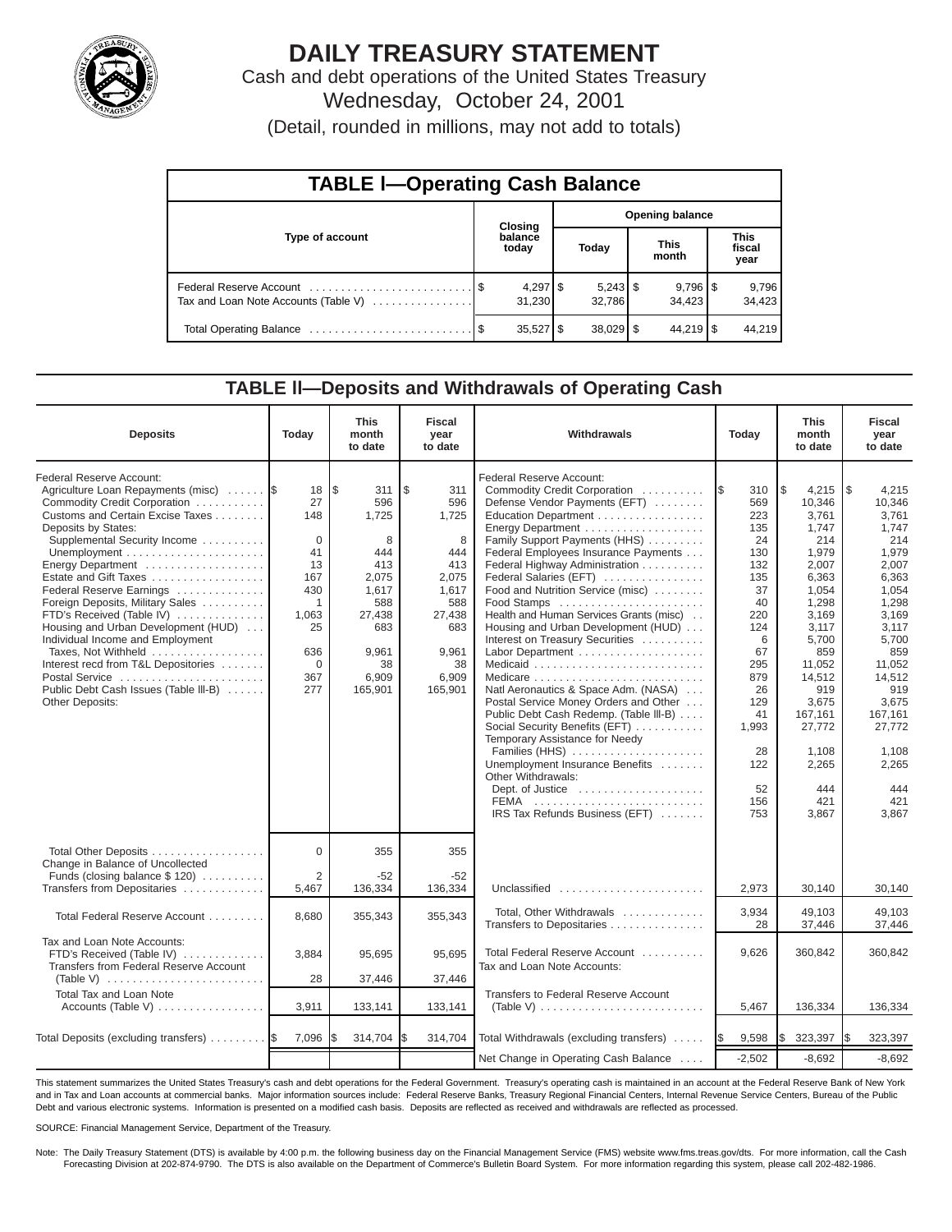

# **DAILY TREASURY STATEMENT**

Cash and debt operations of the United States Treasury Wednesday, October 24, 2001

(Detail, rounded in millions, may not add to totals)

| <b>TABLE I-Operating Cash Balance</b> |  |                      |                        |             |                      |                        |  |                               |  |  |
|---------------------------------------|--|----------------------|------------------------|-------------|----------------------|------------------------|--|-------------------------------|--|--|
|                                       |  | Closing              | <b>Opening balance</b> |             |                      |                        |  |                               |  |  |
| Type of account                       |  | balance<br>today     |                        | Today       | <b>This</b><br>month |                        |  | <b>This</b><br>fiscal<br>year |  |  |
| Tax and Loan Note Accounts (Table V)  |  | $4,297$ \$<br>31.230 |                        | 32.786      |                      | $9,796$ \ \$<br>34.423 |  | 9,796<br>34,423               |  |  |
|                                       |  | $35,527$ \$          |                        | $38,029$ \$ |                      | $44,219$ $\frac{1}{9}$ |  | 44.219                        |  |  |

#### **TABLE ll—Deposits and Withdrawals of Operating Cash**

| <b>Deposits</b>                                                                                                                                                                                                                                                                                                                                                                                                                                                                                                                                             | Today                                                                                                                       | This<br>month<br>to date                                                                                                    | <b>Fiscal</b><br>year<br>to date                                                                                          | Withdrawals<br>Today                                                                                                                                                                                                                                                                                                                                                                                                                                                                                                                                                                                                                                                                                                                                                                                                                                   |                                                                                                                                                                            | <b>This</b><br>month<br>to date                                                                                                                                                                                                   | <b>Fiscal</b><br>year<br>to date                                                                                                                                                                                                  |
|-------------------------------------------------------------------------------------------------------------------------------------------------------------------------------------------------------------------------------------------------------------------------------------------------------------------------------------------------------------------------------------------------------------------------------------------------------------------------------------------------------------------------------------------------------------|-----------------------------------------------------------------------------------------------------------------------------|-----------------------------------------------------------------------------------------------------------------------------|---------------------------------------------------------------------------------------------------------------------------|--------------------------------------------------------------------------------------------------------------------------------------------------------------------------------------------------------------------------------------------------------------------------------------------------------------------------------------------------------------------------------------------------------------------------------------------------------------------------------------------------------------------------------------------------------------------------------------------------------------------------------------------------------------------------------------------------------------------------------------------------------------------------------------------------------------------------------------------------------|----------------------------------------------------------------------------------------------------------------------------------------------------------------------------|-----------------------------------------------------------------------------------------------------------------------------------------------------------------------------------------------------------------------------------|-----------------------------------------------------------------------------------------------------------------------------------------------------------------------------------------------------------------------------------|
| Federal Reserve Account:<br>Agriculture Loan Repayments (misc)<br>Commodity Credit Corporation<br>Customs and Certain Excise Taxes<br>Deposits by States:<br>Supplemental Security Income<br>Energy Department<br>Estate and Gift Taxes<br>Federal Reserve Earnings<br>Foreign Deposits, Military Sales<br>FTD's Received (Table IV)<br>Housing and Urban Development (HUD)<br>Individual Income and Employment<br>Taxes, Not Withheld<br>Interest recd from T&L Depositories<br>Postal Service<br>Public Debt Cash Issues (Table III-B)<br>Other Deposits: | 18<br>27<br>148<br>$\mathbf 0$<br>41<br>13<br>167<br>430<br>$\mathbf{1}$<br>1,063<br>25<br>636<br>$\mathbf 0$<br>367<br>277 | l \$<br>311<br>596<br>1,725<br>8<br>444<br>413<br>2,075<br>1,617<br>588<br>27,438<br>683<br>9,961<br>38<br>6,909<br>165,901 | \$<br>311<br>596<br>1,725<br>8<br>444<br>413<br>2,075<br>1,617<br>588<br>27,438<br>683<br>9,961<br>38<br>6,909<br>165,901 | Federal Reserve Account:<br>Commodity Credit Corporation<br>Defense Vendor Payments (EFT)<br>Education Department<br>Energy Department<br>Family Support Payments (HHS)<br>Federal Employees Insurance Payments<br>Federal Highway Administration<br>Federal Salaries (EFT)<br>Food and Nutrition Service (misc)<br>Food Stamps<br>Health and Human Services Grants (misc)<br>Housing and Urban Development (HUD)<br>Interest on Treasury Securities<br>Labor Department<br>Natl Aeronautics & Space Adm. (NASA)<br>Postal Service Money Orders and Other<br>Public Debt Cash Redemp. (Table III-B)<br>Social Security Benefits (EFT)<br>Temporary Assistance for Needy<br>Families (HHS)<br>Unemployment Insurance Benefits<br>Other Withdrawals:<br>Dept. of Justice $\dots\dots\dots\dots\dots\dots\dots$<br>FEMA<br>IRS Tax Refunds Business (EFT) | 1\$<br>310<br>569<br>223<br>135<br>24<br>130<br>132<br>135<br>37<br>40<br>220<br>124<br>6<br>67<br>295<br>879<br>26<br>129<br>41<br>1,993<br>28<br>122<br>52<br>156<br>753 | l \$<br>4,215<br>10,346<br>3,761<br>1,747<br>214<br>1,979<br>2,007<br>6,363<br>1,054<br>1,298<br>3,169<br>3,117<br>5,700<br>859<br>11,052<br>14,512<br>919<br>3,675<br>167,161<br>27,772<br>1.108<br>2,265<br>444<br>421<br>3.867 | l \$<br>4,215<br>10,346<br>3,761<br>1,747<br>214<br>1,979<br>2,007<br>6,363<br>1,054<br>1,298<br>3,169<br>3,117<br>5,700<br>859<br>11,052<br>14,512<br>919<br>3,675<br>167,161<br>27.772<br>1.108<br>2,265<br>444<br>421<br>3.867 |
| Total Other Deposits<br>Change in Balance of Uncollected<br>Funds (closing balance \$120)                                                                                                                                                                                                                                                                                                                                                                                                                                                                   | $\Omega$<br>2                                                                                                               | 355<br>$-52$                                                                                                                | 355<br>$-52$                                                                                                              |                                                                                                                                                                                                                                                                                                                                                                                                                                                                                                                                                                                                                                                                                                                                                                                                                                                        |                                                                                                                                                                            |                                                                                                                                                                                                                                   |                                                                                                                                                                                                                                   |
| Transfers from Depositaries                                                                                                                                                                                                                                                                                                                                                                                                                                                                                                                                 | 5,467                                                                                                                       | 136,334                                                                                                                     | 136,334                                                                                                                   | Unclassified                                                                                                                                                                                                                                                                                                                                                                                                                                                                                                                                                                                                                                                                                                                                                                                                                                           | 2,973                                                                                                                                                                      | 30,140                                                                                                                                                                                                                            | 30,140                                                                                                                                                                                                                            |
| Total Federal Reserve Account                                                                                                                                                                                                                                                                                                                                                                                                                                                                                                                               | 8,680                                                                                                                       | 355,343                                                                                                                     | 355,343                                                                                                                   | Total, Other Withdrawals<br>Transfers to Depositaries                                                                                                                                                                                                                                                                                                                                                                                                                                                                                                                                                                                                                                                                                                                                                                                                  | 3,934<br>28                                                                                                                                                                | 49.103<br>37,446                                                                                                                                                                                                                  | 49.103<br>37,446                                                                                                                                                                                                                  |
| Tax and Loan Note Accounts:<br>FTD's Received (Table IV)<br>Transfers from Federal Reserve Account                                                                                                                                                                                                                                                                                                                                                                                                                                                          | 3,884                                                                                                                       | 95,695                                                                                                                      | 95,695                                                                                                                    | Total Federal Reserve Account<br>Tax and Loan Note Accounts:                                                                                                                                                                                                                                                                                                                                                                                                                                                                                                                                                                                                                                                                                                                                                                                           | 9,626                                                                                                                                                                      | 360,842                                                                                                                                                                                                                           | 360.842                                                                                                                                                                                                                           |
| <b>Total Tax and Loan Note</b>                                                                                                                                                                                                                                                                                                                                                                                                                                                                                                                              | 28                                                                                                                          | 37,446                                                                                                                      | 37,446                                                                                                                    | <b>Transfers to Federal Reserve Account</b>                                                                                                                                                                                                                                                                                                                                                                                                                                                                                                                                                                                                                                                                                                                                                                                                            |                                                                                                                                                                            |                                                                                                                                                                                                                                   |                                                                                                                                                                                                                                   |
| Accounts (Table V)                                                                                                                                                                                                                                                                                                                                                                                                                                                                                                                                          | 3,911                                                                                                                       | 133,141                                                                                                                     | 133,141                                                                                                                   | (Table V) $\ldots \ldots \ldots \ldots \ldots \ldots \ldots \ldots$                                                                                                                                                                                                                                                                                                                                                                                                                                                                                                                                                                                                                                                                                                                                                                                    | 5,467                                                                                                                                                                      | 136,334                                                                                                                                                                                                                           | 136,334                                                                                                                                                                                                                           |
| Total Deposits (excluding transfers)                                                                                                                                                                                                                                                                                                                                                                                                                                                                                                                        | 7,096                                                                                                                       | 314,704                                                                                                                     | I\$<br>314,704                                                                                                            | Total Withdrawals (excluding transfers)                                                                                                                                                                                                                                                                                                                                                                                                                                                                                                                                                                                                                                                                                                                                                                                                                | 9,598<br><b>IS</b>                                                                                                                                                         | I\$<br>323,397                                                                                                                                                                                                                    | 323,397<br>I\$                                                                                                                                                                                                                    |
|                                                                                                                                                                                                                                                                                                                                                                                                                                                                                                                                                             |                                                                                                                             |                                                                                                                             |                                                                                                                           | Net Change in Operating Cash Balance                                                                                                                                                                                                                                                                                                                                                                                                                                                                                                                                                                                                                                                                                                                                                                                                                   | $-2,502$                                                                                                                                                                   | $-8,692$                                                                                                                                                                                                                          | $-8,692$                                                                                                                                                                                                                          |

This statement summarizes the United States Treasury's cash and debt operations for the Federal Government. Treasury's operating cash is maintained in an account at the Federal Reserve Bank of New York and in Tax and Loan accounts at commercial banks. Major information sources include: Federal Reserve Banks, Treasury Regional Financial Centers, Internal Revenue Service Centers, Bureau of the Public Debt and various electronic systems. Information is presented on a modified cash basis. Deposits are reflected as received and withdrawals are reflected as processed.

SOURCE: Financial Management Service, Department of the Treasury.

Note: The Daily Treasury Statement (DTS) is available by 4:00 p.m. the following business day on the Financial Management Service (FMS) website www.fms.treas.gov/dts. For more information, call the Cash Forecasting Division at 202-874-9790. The DTS is also available on the Department of Commerce's Bulletin Board System. For more information regarding this system, please call 202-482-1986.